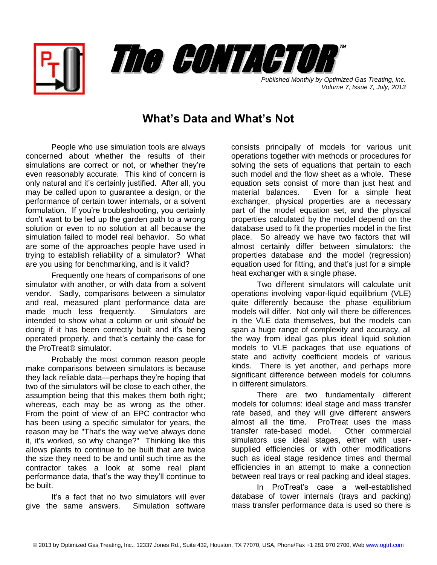



*Published Monthly by Optimized Gas Treating, Inc. Volume 7, Issue 7, July, 2013*

## **What's Data and What's Not**

People who use simulation tools are always concerned about whether the results of their simulations are correct or not, or whether they're even reasonably accurate. This kind of concern is only natural and it's certainly justified. After all, you may be called upon to guarantee a design, or the performance of certain tower internals, or a solvent formulation. If you're troubleshooting, you certainly don't want to be led up the garden path to a wrong solution or even to no solution at all because the simulation failed to model real behavior. So what are some of the approaches people have used in trying to establish reliability of a simulator? What are you using for benchmarking, and is it valid?

Frequently one hears of comparisons of one simulator with another, or with data from a solvent vendor. Sadly, comparisons between a simulator and real, measured plant performance data are made much less frequently. Simulators are intended to show what a column or unit *should* be doing if it has been correctly built and it's being operated properly, and that's certainly the case for the ProTreat<sup>®</sup> simulator.

Probably the most common reason people make comparisons between simulators is because they lack reliable data—perhaps they're hoping that two of the simulators will be close to each other, the assumption being that this makes them both right; whereas, each may be as wrong as the other. From the point of view of an EPC contractor who has been using a specific simulator for years, the reason may be "That's the way we've always done it, it's worked, so why change?" Thinking like this allows plants to continue to be built that are twice the size they need to be and until such time as the contractor takes a look at some real plant performance data, that's the way they'll continue to be built.

It's a fact that no two simulators will ever give the same answers. Simulation software consists principally of models for various unit operations together with methods or procedures for solving the sets of equations that pertain to each such model and the flow sheet as a whole. These equation sets consist of more than just heat and material balances. Even for a simple heat exchanger, physical properties are a necessary part of the model equation set, and the physical properties calculated by the model depend on the database used to fit the properties model in the first place. So already we have two factors that will almost certainly differ between simulators: the properties database and the model (regression) equation used for fitting, and that's just for a simple heat exchanger with a single phase.

Two different simulators will calculate unit operations involving vapor-liquid equilibrium (VLE) quite differently because the phase equilibrium models will differ. Not only will there be differences in the VLE data themselves, but the models can span a huge range of complexity and accuracy, all the way from ideal gas plus ideal liquid solution models to VLE packages that use equations of state and activity coefficient models of various kinds. There is yet another, and perhaps more significant difference between models for columns in different simulators.

There are two fundamentally different models for columns: ideal stage and mass transfer rate based, and they will give different answers almost all the time. ProTreat uses the mass transfer rate-based model. Other commercial simulators use ideal stages, either with usersupplied efficiencies or with other modifications such as ideal stage residence times and thermal efficiencies in an attempt to make a connection between real trays or real packing and ideal stages.

In ProTreat's case a well-established database of tower internals (trays and packing) mass transfer performance data is used so there is